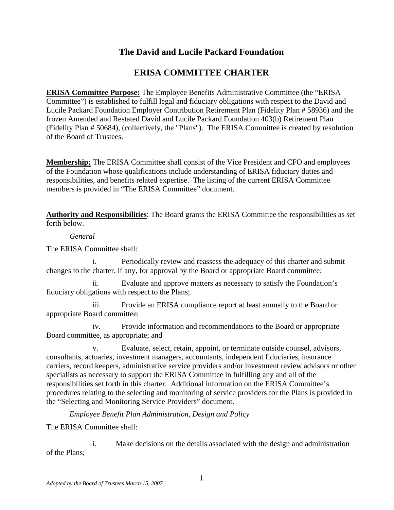## **The David and Lucile Packard Foundation**

## **ERISA COMMITTEE CHARTER**

**ERISA Committee Purpose:** The Employee Benefits Administrative Committee (the "ERISA Committee") is established to fulfill legal and fiduciary obligations with respect to the David and Lucile Packard Foundation Employer Contribution Retirement Plan (Fidelity Plan # 58936) and the frozen Amended and Restated David and Lucile Packard Foundation 403(b) Retirement Plan (Fidelity Plan # 50684), (collectively, the "Plans"). The ERISA Committee is created by resolution of the Board of Trustees.

**Membership:** The ERISA Committee shall consist of the Vice President and CFO and employees of the Foundation whose qualifications include understanding of ERISA fiduciary duties and responsibilities, and benefits related expertise. The listing of the current ERISA Committee members is provided in "The ERISA Committee" document.

**Authority and Responsibilities**: The Board grants the ERISA Committee the responsibilities as set forth below.

*General* 

The ERISA Committee shall:

i. Periodically review and reassess the adequacy of this charter and submit changes to the charter, if any, for approval by the Board or appropriate Board committee;

ii. Evaluate and approve matters as necessary to satisfy the Foundation's fiduciary obligations with respect to the Plans;

iii. Provide an ERISA compliance report at least annually to the Board or appropriate Board committee;

iv. Provide information and recommendations to the Board or appropriate Board committee, as appropriate; and

v. Evaluate, select, retain, appoint, or terminate outside counsel, advisors, consultants, actuaries, investment managers, accountants, independent fiduciaries, insurance carriers, record keepers, administrative service providers and/or investment review advisors or other specialists as necessary to support the ERISA Committee in fulfilling any and all of the responsibilities set forth in this charter. Additional information on the ERISA Committee's procedures relating to the selecting and monitoring of service providers for the Plans is provided in the "Selecting and Monitoring Service Providers" document.

*Employee Benefit Plan Administration, Design and Policy* 

The ERISA Committee shall:

 i. Make decisions on the details associated with the design and administration of the Plans;

1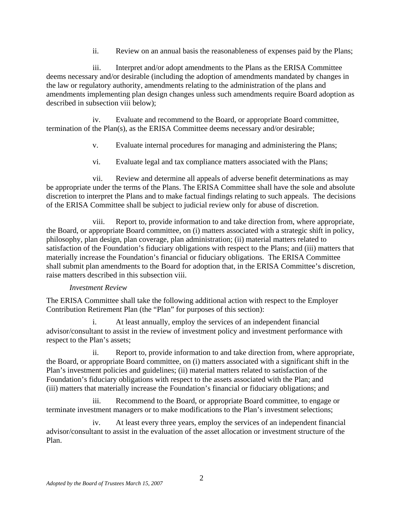ii. Review on an annual basis the reasonableness of expenses paid by the Plans;

 iii. Interpret and/or adopt amendments to the Plans as the ERISA Committee deems necessary and/or desirable (including the adoption of amendments mandated by changes in the law or regulatory authority, amendments relating to the administration of the plans and amendments implementing plan design changes unless such amendments require Board adoption as described in subsection viii below);

 iv. Evaluate and recommend to the Board, or appropriate Board committee, termination of the Plan(s), as the ERISA Committee deems necessary and/or desirable;

- v. Evaluate internal procedures for managing and administering the Plans;
- vi. Evaluate legal and tax compliance matters associated with the Plans;

 vii. Review and determine all appeals of adverse benefit determinations as may be appropriate under the terms of the Plans. The ERISA Committee shall have the sole and absolute discretion to interpret the Plans and to make factual findings relating to such appeals. The decisions of the ERISA Committee shall be subject to judicial review only for abuse of discretion.

 viii. Report to, provide information to and take direction from, where appropriate, the Board, or appropriate Board committee, on (i) matters associated with a strategic shift in policy, philosophy, plan design, plan coverage, plan administration; (ii) material matters related to satisfaction of the Foundation's fiduciary obligations with respect to the Plans; and (iii) matters that materially increase the Foundation's financial or fiduciary obligations. The ERISA Committee shall submit plan amendments to the Board for adoption that, in the ERISA Committee's discretion, raise matters described in this subsection viii.

## *Investment Review*

The ERISA Committee shall take the following additional action with respect to the Employer Contribution Retirement Plan (the "Plan" for purposes of this section):

 i. At least annually, employ the services of an independent financial advisor/consultant to assist in the review of investment policy and investment performance with respect to the Plan's assets;

 ii. Report to, provide information to and take direction from, where appropriate, the Board, or appropriate Board committee, on (i) matters associated with a significant shift in the Plan's investment policies and guidelines; (ii) material matters related to satisfaction of the Foundation's fiduciary obligations with respect to the assets associated with the Plan; and (iii) matters that materially increase the Foundation's financial or fiduciary obligations; and

 iii. Recommend to the Board, or appropriate Board committee, to engage or terminate investment managers or to make modifications to the Plan's investment selections;

 iv. At least every three years, employ the services of an independent financial advisor/consultant to assist in the evaluation of the asset allocation or investment structure of the Plan.